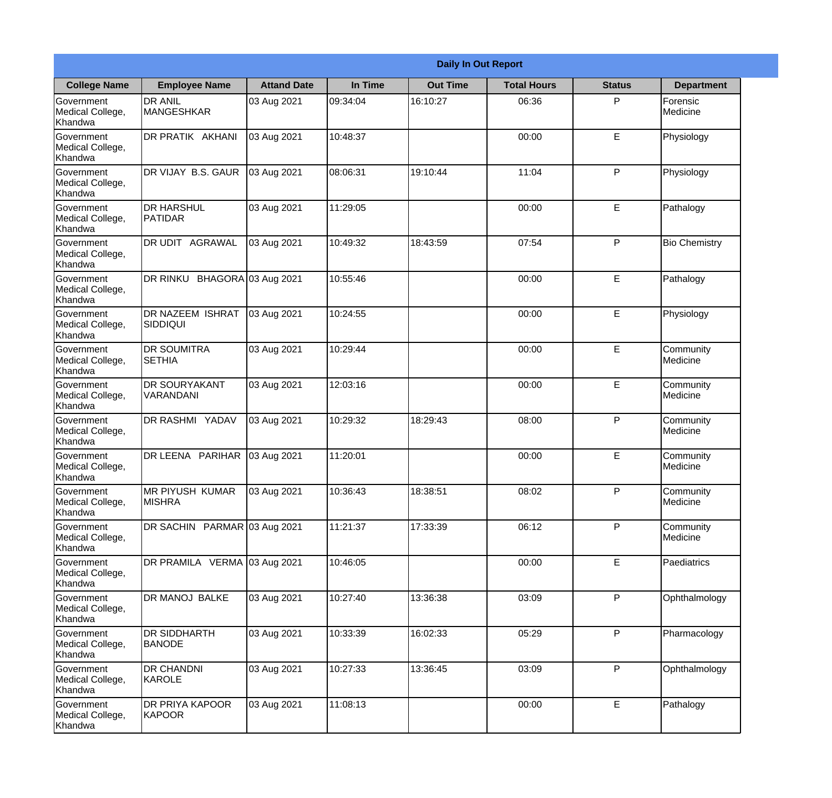|                                                  |                                            |                    |          | <b>Daily In Out Report</b> |                    |               |                       |
|--------------------------------------------------|--------------------------------------------|--------------------|----------|----------------------------|--------------------|---------------|-----------------------|
| <b>College Name</b>                              | <b>Employee Name</b>                       | <b>Attand Date</b> | In Time  | <b>Out Time</b>            | <b>Total Hours</b> | <b>Status</b> | <b>Department</b>     |
| Government<br>Medical College,<br>Khandwa        | <b>DR ANIL</b><br><b>MANGESHKAR</b>        | 03 Aug 2021        | 09:34:04 | 16:10:27                   | 06:36              | P             | Forensic<br>Medicine  |
| Government<br>Medical College,<br>Khandwa        | DR PRATIK AKHANI                           | 03 Aug 2021        | 10:48:37 |                            | 00:00              | E             | Physiology            |
| <b>Government</b><br>Medical College,<br>Khandwa | DR VIJAY B.S. GAUR                         | 03 Aug 2021        | 08:06:31 | 19:10:44                   | 11:04              | P             | Physiology            |
| Government<br>Medical College,<br>Khandwa        | <b>DR HARSHUL</b><br>PATIDAR               | 03 Aug 2021        | 11:29:05 |                            | 00:00              | $\mathsf E$   | Pathalogy             |
| <b>Government</b><br>Medical College,<br>Khandwa | DR UDIT AGRAWAL                            | 03 Aug 2021        | 10:49:32 | 18:43:59                   | 07:54              | P             | <b>Bio Chemistry</b>  |
| Government<br>Medical College,<br>Khandwa        | DR RINKU BHAGORA 03 Aug 2021               |                    | 10:55:46 |                            | 00:00              | E             | Pathalogy             |
| <b>Government</b><br>Medical College,<br>Khandwa | <b>DR NAZEEM ISHRAT</b><br><b>SIDDIQUI</b> | 03 Aug 2021        | 10:24:55 |                            | 00:00              | E             | Physiology            |
| Government<br>Medical College,<br>Khandwa        | <b>DR SOUMITRA</b><br><b>SETHIA</b>        | 03 Aug 2021        | 10:29:44 |                            | 00:00              | E             | Community<br>Medicine |
| Government<br>Medical College,<br>Khandwa        | <b>DR SOURYAKANT</b><br>VARANDANI          | 03 Aug 2021        | 12:03:16 |                            | 00:00              | E             | Community<br>Medicine |
| Government<br>Medical College,<br>Khandwa        | <b>DR RASHMI YADAV</b>                     | 03 Aug 2021        | 10:29:32 | 18:29:43                   | 08:00              | P             | Community<br>Medicine |
| Government<br>Medical College,<br>Khandwa        | DR LEENA PARIHAR                           | 03 Aug 2021        | 11:20:01 |                            | 00:00              | E             | Community<br>Medicine |
| Government<br>Medical College,<br>Khandwa        | <b>MR PIYUSH KUMAR</b><br><b>MISHRA</b>    | 03 Aug 2021        | 10:36:43 | 18:38:51                   | 08:02              | P             | Community<br>Medicine |
| Government<br>Medical College,<br>Khandwa        | DR SACHIN PARMAR 03 Aug 2021               |                    | 11:21:37 | 17:33:39                   | 06:12              | P             | Community<br>Medicine |
| Government<br>Medical College,<br>Khandwa        | DR PRAMILA VERMA 03 Aug 2021               |                    | 10:46:05 |                            | 00:00              | $\mathsf E$   | Paediatrics           |
| <b>Government</b><br>Medical College,<br>Khandwa | DR MANOJ BALKE                             | 03 Aug 2021        | 10:27:40 | 13:36:38                   | 03:09              | $\mathsf{P}$  | Ophthalmology         |
| Government<br>Medical College,<br>Khandwa        | <b>DR SIDDHARTH</b><br><b>BANODE</b>       | 03 Aug 2021        | 10:33:39 | 16:02:33                   | 05:29              | P             | Pharmacology          |
| Government<br>Medical College,<br>Khandwa        | <b>DR CHANDNI</b><br>KAROLE                | 03 Aug 2021        | 10:27:33 | 13:36:45                   | 03:09              | P             | Ophthalmology         |
| Government<br>Medical College,<br>Khandwa        | DR PRIYA KAPOOR<br>KAPOOR                  | 03 Aug 2021        | 11:08:13 |                            | 00:00              | $\mathsf E$   | Pathalogy             |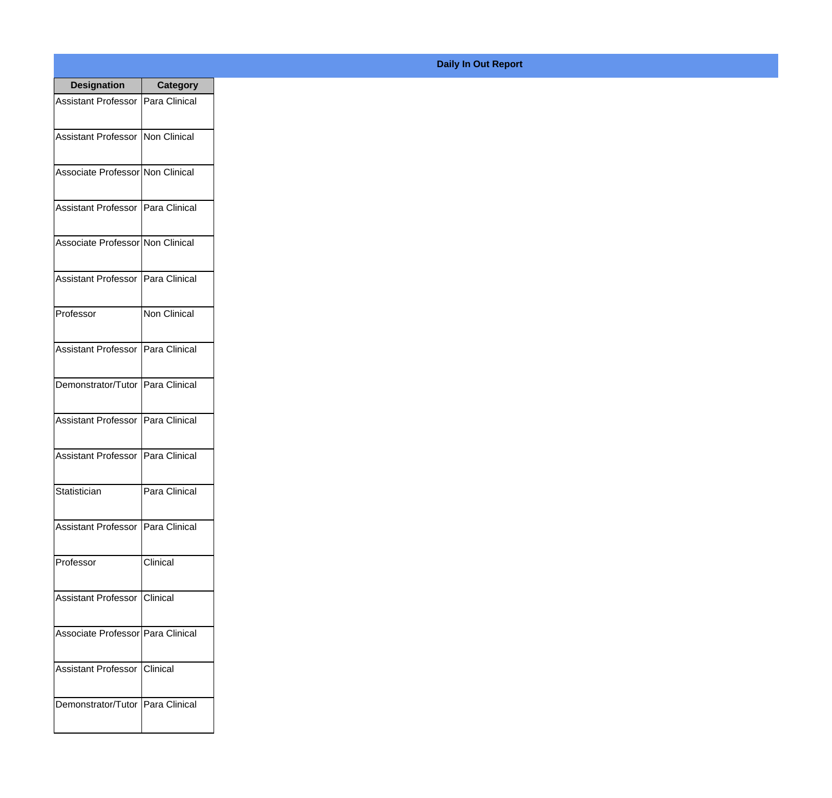| <b>Designation</b>                  | <b>Category</b>     |
|-------------------------------------|---------------------|
| Assistant Professor   Para Clinical |                     |
| Assistant Professor   Non Clinical  |                     |
| Associate Professor Non Clinical    |                     |
| Assistant Professor   Para Clinical |                     |
| Associate Professor Non Clinical    |                     |
| Assistant Professor   Para Clinical |                     |
| Professor                           | <b>Non Clinical</b> |
| Assistant Professor   Para Clinical |                     |
| Demonstrator/Tutor   Para Clinical  |                     |
| <b>Assistant Professor</b>          | Para Clinical       |
| <b>Assistant Professor</b>          | Para Clinical       |
| Statistician                        | Para Clinical       |
| Assistant Professor   Para Clinical |                     |
| Professor                           | Clinical            |
| Assistant Professor   Clinical      |                     |
| Associate Professor   Para Clinical |                     |
| <b>Assistant Professor</b>          | <b>Clinical</b>     |
| Demonstrator/Tutor   Para Clinical  |                     |

## **Daily In Out Report**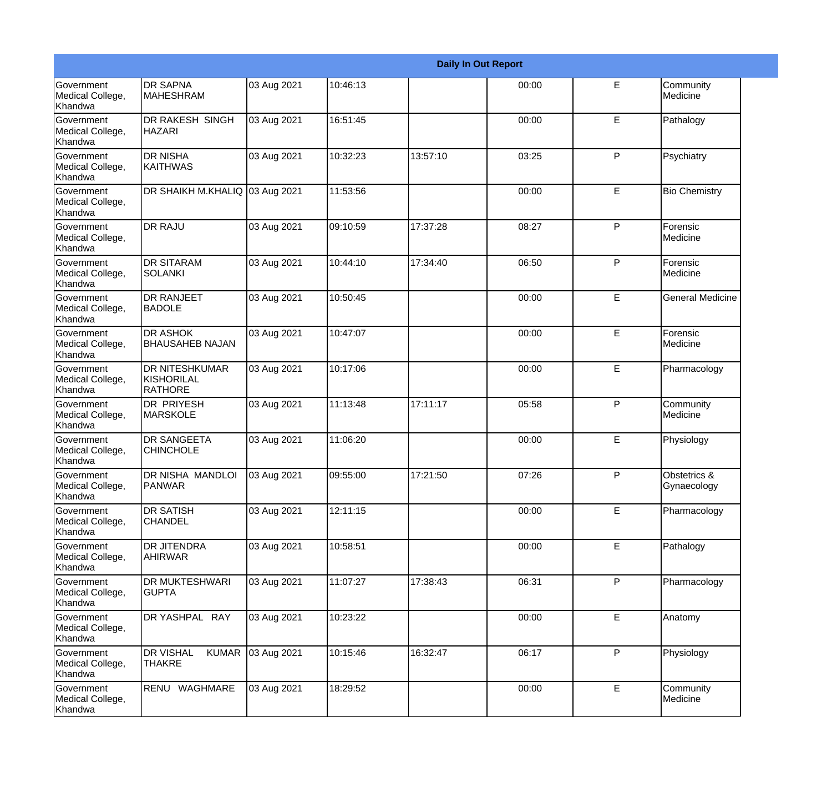|                                                  |                                                       |             |          |          | <b>Daily In Out Report</b> |              |                             |
|--------------------------------------------------|-------------------------------------------------------|-------------|----------|----------|----------------------------|--------------|-----------------------------|
| <b>Government</b><br>Medical College,<br>Khandwa | <b>DR SAPNA</b><br><b>MAHESHRAM</b>                   | 03 Aug 2021 | 10:46:13 |          | 00:00                      | E            | Community<br>Medicine       |
| Government<br>Medical College,<br>Khandwa        | DR RAKESH SINGH<br><b>HAZARI</b>                      | 03 Aug 2021 | 16:51:45 |          | 00:00                      | E            | Pathalogy                   |
| <b>Government</b><br>Medical College,<br>Khandwa | <b>DR NISHA</b><br><b>KAITHWAS</b>                    | 03 Aug 2021 | 10:32:23 | 13:57:10 | 03:25                      | P            | Psychiatry                  |
| Government<br>Medical College,<br>Khandwa        | DR SHAIKH M.KHALIQ 03 Aug 2021                        |             | 11:53:56 |          | 00:00                      | E            | <b>Bio Chemistry</b>        |
| Government<br>Medical College,<br>Khandwa        | <b>DR RAJU</b>                                        | 03 Aug 2021 | 09:10:59 | 17:37:28 | 08:27                      | $\mathsf{P}$ | Forensic<br>Medicine        |
| Government<br>Medical College,<br>Khandwa        | <b>DR SITARAM</b><br><b>SOLANKI</b>                   | 03 Aug 2021 | 10:44:10 | 17:34:40 | 06:50                      | $\mathsf{P}$ | Forensic<br>Medicine        |
| Government<br>Medical College,<br>Khandwa        | <b>DR RANJEET</b><br><b>BADOLE</b>                    | 03 Aug 2021 | 10:50:45 |          | 00:00                      | E            | <b>General Medicine</b>     |
| Government<br>Medical College,<br>Khandwa        | <b>DR ASHOK</b><br><b>BHAUSAHEB NAJAN</b>             | 03 Aug 2021 | 10:47:07 |          | 00:00                      | E            | Forensic<br>Medicine        |
| Government<br>Medical College,<br>Khandwa        | <b>DR NITESHKUMAR</b><br>KISHORILAL<br><b>RATHORE</b> | 03 Aug 2021 | 10:17:06 |          | 00:00                      | E            | Pharmacology                |
| <b>Government</b><br>Medical College,<br>Khandwa | DR PRIYESH<br><b>MARSKOLE</b>                         | 03 Aug 2021 | 11:13:48 | 17:11:17 | 05:58                      | P            | Community<br>Medicine       |
| <b>Government</b><br>Medical College,<br>Khandwa | <b>DR SANGEETA</b><br><b>CHINCHOLE</b>                | 03 Aug 2021 | 11:06:20 |          | 00:00                      | E            | Physiology                  |
| Government<br>Medical College,<br>Khandwa        | DR NISHA MANDLOI<br>PANWAR                            | 03 Aug 2021 | 09:55:00 | 17:21:50 | 07:26                      | P            | Obstetrics &<br>Gynaecology |
| Government<br>Medical College,<br>Khandwa        | <b>DR SATISH</b><br><b>CHANDEL</b>                    | 03 Aug 2021 | 12:11:15 |          | 00:00                      | E            | Pharmacology                |
| Government<br>Medical College,<br>Khandwa        | <b>DR JITENDRA</b><br>AHIRWAR                         | 03 Aug 2021 | 10:58:51 |          | 00:00                      | E            | Pathalogy                   |
| Government<br>Medical College,<br>Khandwa        | <b>DR MUKTESHWARI</b><br><b>GUPTA</b>                 | 03 Aug 2021 | 11:07:27 | 17:38:43 | 06:31                      | P            | Pharmacology                |
| Government<br>Medical College,<br>Khandwa        | DR YASHPAL RAY                                        | 03 Aug 2021 | 10:23:22 |          | 00:00                      | E            | Anatomy                     |
| Government<br>Medical College,<br>Khandwa        | <b>KUMAR</b><br><b>DR VISHAL</b><br><b>THAKRE</b>     | 03 Aug 2021 | 10:15:46 | 16:32:47 | 06:17                      | $\mathsf{P}$ | Physiology                  |
| Government<br>Medical College,<br>Khandwa        | RENU WAGHMARE                                         | 03 Aug 2021 | 18:29:52 |          | 00:00                      | E            | Community<br>Medicine       |